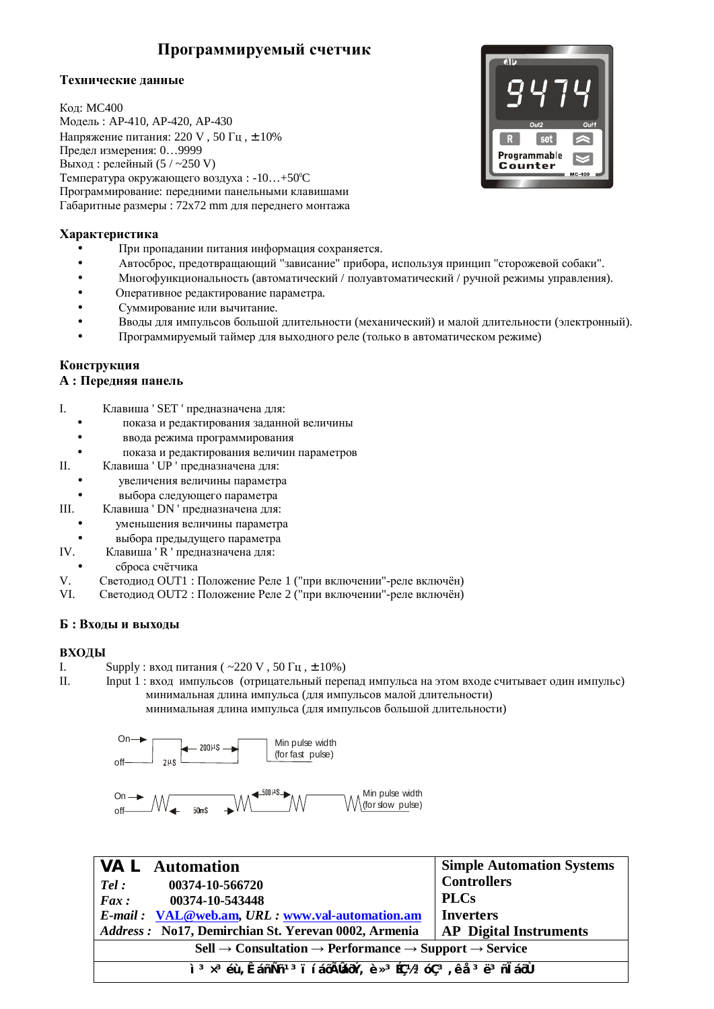# Программируемый счетчик

# Технические данные

Кол: МС400 Модель: АР-410, АР-420, АР-430 Напряжение питания: 220 V, 50 Гц, ± 10% Предел измерения: 0...9999 Выход: релейный (5 / ~250 V) Температура окружающего воздуха: -10...+50°С Программирование: передними панельными клавишами Габаритные размеры : 72x72 mm для переднего монтажа



# **Характеристика**

- При пропалании питания информация сохраняется.
- Автосброс, предотвращающий "зависание" прибора, используя принцип "сторожевой собаки".
- Многофункциональность (автоматический / полуавтоматический / ручной режимы управления).
- Оперативное редактирование параметра.
- Суммирование или вычитание.
- Вводы для импульсов большой длительности (механический) и малой длительности (электронный).
- Программируемый таймер для выходного реле (только в автоматическом режиме)

# Конструкция

# $A:$  Передняя панель

- I. Клавиша ' SET ' предназначена для:
	- показа и редактирования заданной величины
	- ввода режима программирования
	- показа и редактирования величин параметров
- II. Клавиша ' UP ' предназначена для:
	- **УВЕЛИЧЕНИЯ ВЕЛИЧИНЫ ПАРАМЕТРА**
	- выбора следующего параметра
- III. Клавиша ' DN ' предназначена для:
	- уменьшения величины параметра
	- выбора предыдущего параметра
- IV. Клавиша ' R ' предназначена для:
- сброса счётчика
- V. Светодиод OUT1 : Положение Реле 1 ("при включении"-реле включён)
- VI. Светодиод OUT2 : Положение Реле 2 ("при включении"-реле включён)

# $\bf{B}$  : Входы и выходы

# **ВХОЛЫ**

- I. Supply : вход питания (  $\sim$  220 V , 50  $\Gamma$ ц ,  $\pm$  10%)
- II. Input 1 : вход импульсов (отрицательный перепад импульса на этом входе считывает один импульс) минимальная длина импульса (для импульсов малой длительности)

минимальная длина импульса (для импульсов большой длительности)



| <b>VAL</b> Automation                                                                                                                                          | <b>Simple Automation Systems</b> |  |
|----------------------------------------------------------------------------------------------------------------------------------------------------------------|----------------------------------|--|
| 00374-10-566720<br>Tel:                                                                                                                                        | <b>Controllers</b>               |  |
| 00374-10-543448<br>Fax:                                                                                                                                        | <b>PLCs</b>                      |  |
| E-mail: VAL@web.am, URL: www.val-automation.am                                                                                                                 | <b>Inverters</b>                 |  |
| Address: No17, Demirchian St. Yerevan 0002, Armenia                                                                                                            | <b>AP</b> Digital Instruments    |  |
| $\text{Cell} \rightarrow \text{Consultation} \rightarrow \text{Performance} \rightarrow \text{Support} \rightarrow \text{Service}$                             |                                  |  |
| ì <sup>3</sup> x <sup>3</sup> éù, ÊáñÑñ <sup>13</sup> i í áōÃÎdáōÝ, è x <sup>3</sup> Éǽ <sup>3</sup> óÇ <sup>3</sup> , ê å <sup>3</sup> ë <sup>3</sup> ñ l áōÙ |                                  |  |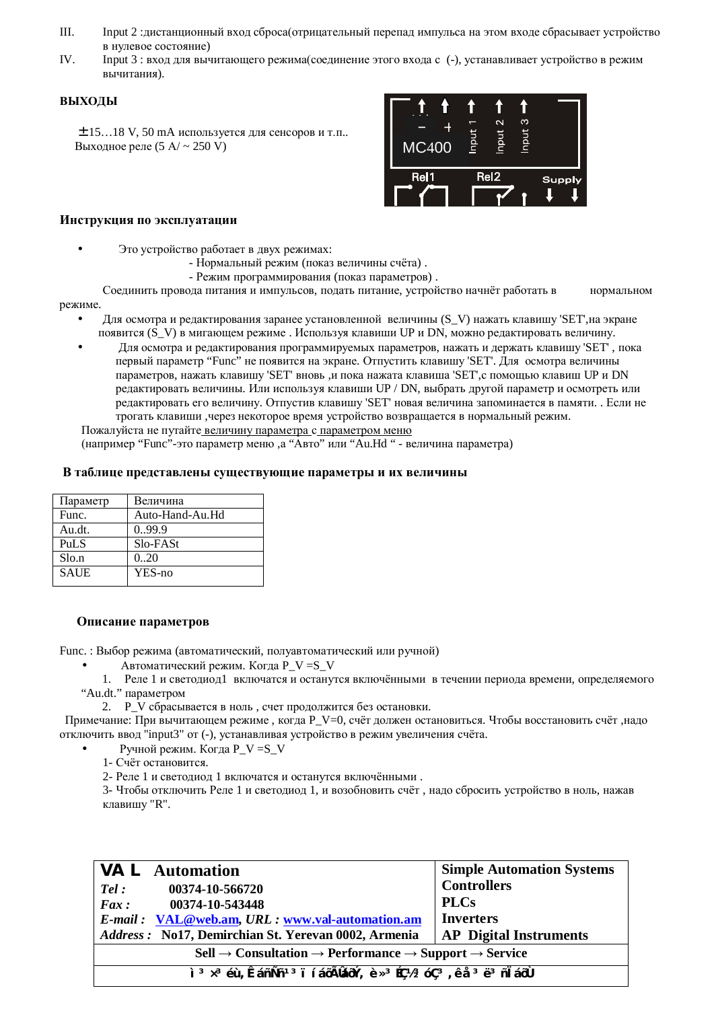- III. Input 2 :дистанционный вход сброса(отрицательный перепад импульса на этом входе сбрасывает устройство в нулевое состояние)
- IV. Input 3 : вход для вычитающего режима (соединение этого входа с (-), устанавливает устройство в режим вычитания).

#### **ВЫХОЛЫ**

 $±$  15...18 V, 50 mA используется для сенсоров и т.п.. Выходное реле (5  $A / \sim 250$  V)



#### **Инструкция по эксплуатации**

- Это устройство работает в двух режимах:
	- Нормальный режим (показ величины счёта).
	- Режим программирования (показ параметров).

Соединить провода питания и импульсов, подать питание, устройство начнёт работать в нормальном режиме.

- Для осмотра и редактирования заранее установленной величины (S\_V) нажать клавишу 'SET', на экране появится (S V) в мигающем режиме. Используя клавиши UP и DN, можно редактировать величину.
- Для осмотра и редактирования программируемых параметров, нажать и держать клавишу 'SET', пока первый параметр "Func" не появится на экране. Отпустить клавишу 'SET'. Для осмотра величины параметров, нажать клавишу 'SET' вновь ,и пока нажата клавиша 'SET', с помощью клавиш UP и DN редактировать величины. Или используя клавиши UP / DN, выбрать другой параметр и осмотреть или редактировать его величину. Отпустив клавишу 'SET' новая величина запоминается в памяти. . Если не трогать клавиши ,через некоторое время устройство возвращается в нормальный режим. Пожалуйста не путайте величину параметра с параметром меню

(например "Func"-это параметр меню, а "Авто" или "Аu.Hd " - величина параметра)

#### В таблице представлены существующие параметры и их величины

| Параметр    | Величина        |
|-------------|-----------------|
| Func.       | Auto-Hand-Au.Hd |
| Au.dt.      | 0.99.9          |
| <b>PuLS</b> | Slo-FASt        |
| Slo.n       | 0.20            |
| <b>SAUE</b> | YES-no          |
|             |                 |

# Описание параметров

Func. : Выбор режима (автоматический, полуавтоматический или ручной)

- Автоматический режим. Когда  $P V = S V$
- 1. Реле 1 и светолиол 1 включатся и останутся включёнными в течении периола времени, опрелеляемого "Au.dt." параметром
	- 2. Р\_V сбрасывается в ноль, счет продолжится без остановки.

Примечание: При вычитающем режиме, когда Р\_V=0, счёт должен остановиться. Чтобы восстановить счёт, надо отключить ввод "input3" от (-), устанавливая устройство в режим увеличения счёта.

Ручной режим. Когда P\_V =S V

1- Счёт остановится.

2- Реле 1 и светодиод 1 включатся и останутся включёнными.

3- Чтобы отключить Реле 1 и светодиод 1, и возобновить счёт, надо сбросить устройство в ноль, нажав клавишу "R".

| <b>VAL</b> Automation                                                                                                                                          | <b>Simple Automation Systems</b> |  |  |
|----------------------------------------------------------------------------------------------------------------------------------------------------------------|----------------------------------|--|--|
| 00374-10-566720<br>Tel:                                                                                                                                        | <b>Controllers</b>               |  |  |
| 00374-10-543448<br>$\boldsymbol{F}$ ax:                                                                                                                        | <b>PLCs</b>                      |  |  |
| E-mail: VAL@web.am, URL: www.val-automation.am                                                                                                                 | <b>Inverters</b>                 |  |  |
| Address: No17, Demirchian St. Yerevan 0002, Armenia                                                                                                            | <b>AP</b> Digital Instruments    |  |  |
| $\text{Cell} \rightarrow \text{Consultation} \rightarrow \text{Performance} \rightarrow \text{Support} \rightarrow \text{Service}$                             |                                  |  |  |
| ì <sup>3</sup> x <sup>3</sup> éù, ÊáñÑñ <sup>13</sup> i í áōÃÎdáōÝ, è x <sup>3</sup> Éǽ <sup>3</sup> óÇ <sup>3</sup> , ê å <sup>3</sup> ë <sup>3</sup> ñ l áōÙ |                                  |  |  |